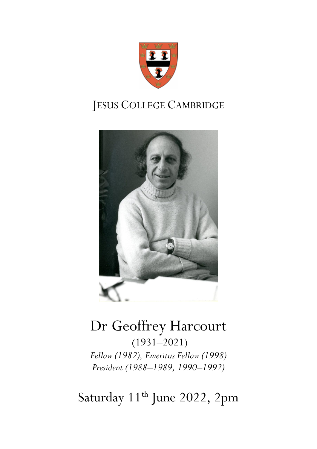

# JESUS COLLEGE CAMBRIDGE



# Dr Geoffrey Harcourt (1931–2021) *Fellow (1982), Emeritus Fellow (1998) President (1988–1989, 1990–1992)*

Saturday 11<sup>th</sup> June 2022, 2pm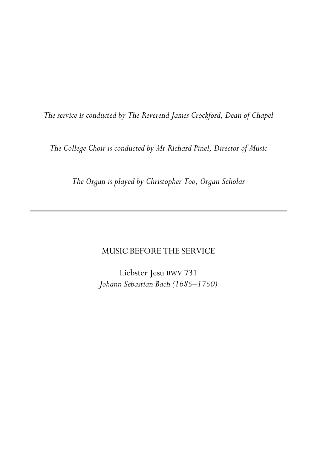*The service is conducted by The Reverend James Crockford, Dean of Chapel*

*The College Choir is conducted by Mr Richard Pinel, Director of Music*

*The Organ is played by Christopher Too, Organ Scholar*

## MUSIC BEFORE THE SERVICE

Liebster Jesu BWV 731 *Johann Sebastian Bach (1685–1750)*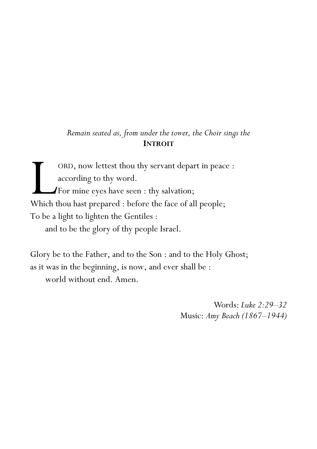# *Remain seated as, from under the tower, the Choir sings the* **INTROIT**

ORD, now lettest thou thy servant depart in peace : according to thy word. For mine eyes have seen : thy salvation; ORD, now lettest thou thy servant depart in peac<br>according to thy word.<br>For mine eyes have seen : thy salvation;<br>Which thou hast prepared : before the face of all people; To be a light to lighten the Gentiles : and to be the glory of thy people Israel.

Glory be to the Father, and to the Son : and to the Holy Ghost; as it was in the beginning, is now, and ever shall be : world without end. Amen.

> Words: *Luke 2:29–32* Music: *Amy Beach (1867–1944)*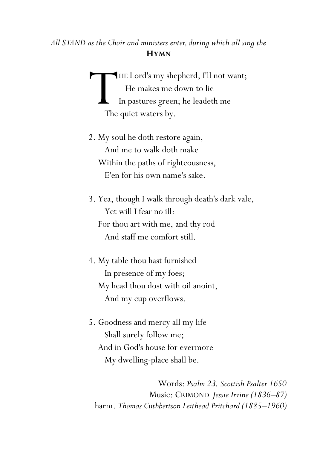# *All STAND as the Choir and ministers enter,during which all sing the* **HYMN**

HE Lord's my shepherd, I'll not want; He makes me down to lie In pastures green; he leadeth me The quiet waters by. The

- 2. My soul he doth restore again, And me to walk doth make Within the paths of righteousness, E'en for his own name's sake.
- 3. Yea, though I walk through death's dark vale, Yet will I fear no ill: For thou art with me, and thy rod And staff me comfort still.
- 4. My table thou hast furnished In presence of my foes; My head thou dost with oil anoint, And my cup overflows.
- 5. Goodness and mercy all my life Shall surely follow me; And in God's house for evermore My dwelling-place shall be.

Words: *Psalm 23, Scottish Psalter 1650* Music: CRIMOND *Jessie Irvine (1836–87)* harm. *Thomas Cuthbertson Leithead Pritchard (1885–1960)*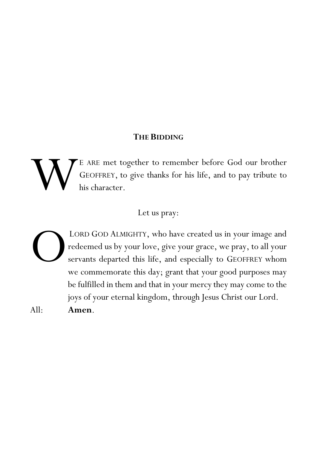### **THE BIDDING**

E ARE met together to remember before God our brother GEOFFREY, to give thanks for his life, and to pay tribute to his character. W

### Let us pray:

LORD GOD ALMIGHTY, who have created us in your image and redeemed us by your love, give your grace, we pray, to all your servants departed this life, and especially to GEOFFREY whom we commemorate this day; grant that your good purposes may be fulfilled in them and that in your mercy they may come to the joys of your eternal kingdom, through Jesus Christ our Lord. All: **Amen**. O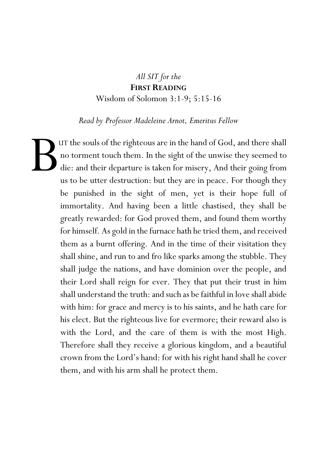# *All SIT for the* **FIRST READING** Wisdom of Solomon 3:1-9; 5:15-16

*Read by Professor Madeleine Arnot, Emeritus Fellow*

UT the souls of the righteous are in the hand of God, and there shall no torment touch them. In the sight of the unwise they seemed to die: and their departure is taken for misery, And their going from us to be utter destruction: but they are in peace. For though they be punished in the sight of men, yet is their hope full of immortality. And having been a little chastised, they shall be greatly rewarded: for God proved them, and found them worthy for himself. As gold in the furnace hath he tried them, and received them as a burnt offering. And in the time of their visitation they shall shine, and run to and fro like sparks among the stubble. They shall judge the nations, and have dominion over the people, and their Lord shall reign for ever. They that put their trust in him shall understand the truth: and such as be faithful in love shall abide with him: for grace and mercy is to his saints, and he hath care for his elect. But the righteous live for evermore; their reward also is with the Lord, and the care of them is with the most High. Therefore shall they receive a glorious kingdom, and a beautiful crown from the Lord's hand: for with his right hand shall he cover them, and with his arm shall he protect them. B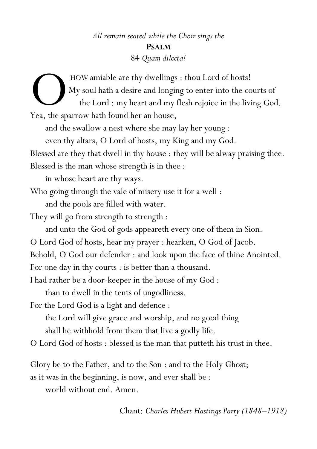# *All remain seated while the Choir sings the* **PSALM** 84 *Quam dilecta!*

HOW amiable are thy dwellings : thou Lord of hosts! My soul hath a desire and longing to enter into the courts of the Lord : my heart and my flesh rejoice in the living God. HOW amiable are thy dwellings<br>My soul hath a desire and longii<br>the Lord : my heart and my<br>Yea, the sparrow hath found her an house, and the swallow a nest where she may lay her young : even thy altars, O Lord of hosts, my King and my God. Blessed are they that dwell in thy house : they will be alway praising thee. Blessed is the man whose strength is in thee : in whose heart are thy ways. Who going through the vale of misery use it for a well : and the pools are filled with water. They will go from strength to strength : and unto the God of gods appeareth every one of them in Sion. O Lord God of hosts, hear my prayer : hearken, O God of Jacob. Behold, O God our defender : and look upon the face of thine Anointed. For one day in thy courts : is better than a thousand. I had rather be a door-keeper in the house of my God : than to dwell in the tents of ungodliness. For the Lord God is a light and defence : the Lord will give grace and worship, and no good thing shall he withhold from them that live a godly life. O Lord God of hosts : blessed is the man that putteth his trust in thee.

Glory be to the Father, and to the Son : and to the Holy Ghost;

as it was in the beginning, is now, and ever shall be :

world without end. Amen.

Chant: *Charles Hubert Hastings Parry (1848–1918)*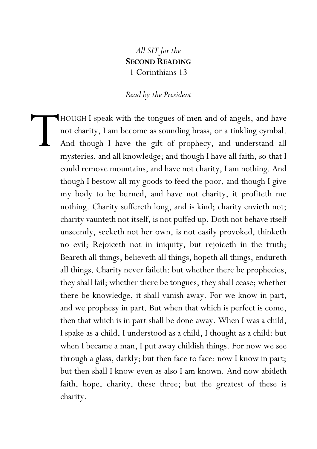# *All SIT for the* **SECOND READING** 1 Corinthians 13

#### *Read by the President*

HOUGH I speak with the tongues of men and of angels, and have not charity, I am become as sounding brass, or a tinkling cymbal. And though I have the gift of prophecy, and understand all mysteries, and all knowledge; and though I have all faith, so that I could remove mountains, and have not charity, I am nothing. And though I bestow all my goods to feed the poor, and though I give my body to be burned, and have not charity, it profiteth me nothing. Charity suffereth long, and is kind; charity envieth not; charity vaunteth not itself, is not puffed up, Doth not behave itself unseemly, seeketh not her own, is not easily provoked, thinketh no evil; Rejoiceth not in iniquity, but rejoiceth in the truth; Beareth all things, believeth all things, hopeth all things, endureth all things. Charity never faileth: but whether there be prophecies, they shall fail; whether there be tongues, they shall cease; whether there be knowledge, it shall vanish away. For we know in part, and we prophesy in part. But when that which is perfect is come, then that which is in part shall be done away. When I was a child, I spake as a child, I understood as a child, I thought as a child: but when I became a man, I put away childish things. For now we see through a glass, darkly; but then face to face: now I know in part; but then shall I know even as also I am known. And now abideth faith, hope, charity, these three; but the greatest of these is charity. T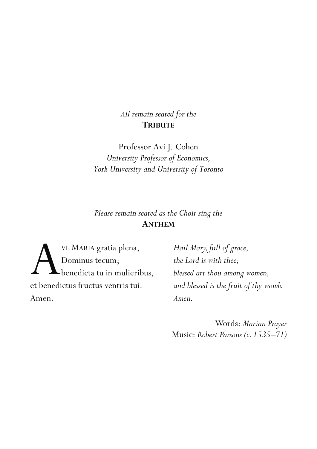# *All remain seated for the* **TRIBUTE**

Professor Avi J. Cohen *University Professor of Economics, York University and University of Toronto*

*Please remain seated as the Choir sing the* **ANTHEM**

VE MARIA gratia plena, Dominus tecum; benedicta tu in mulieribus, VE MARIA gratia plena,<br>Dominus tecum;<br>et benedictus fructus ventris tui. Amen.

*Hail Mary, full of grace, the Lord is with thee; blessed art thou among women, and blessed is the fruit of thy womb. Amen.*

Words: *Marian Prayer* Music: *Robert Parsons (c. 1535–71)*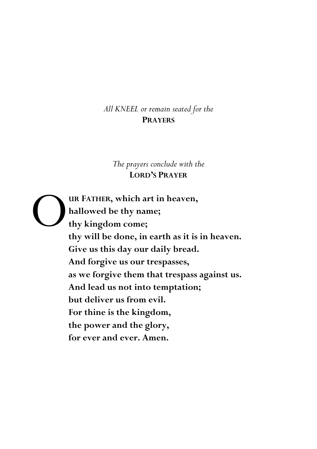# *All KNEEL or remain seated for the* **PRAYERS**

## *The prayers conclude with the* **LORD'S PRAYER**

**UR FATHER, which art in heaven, hallowed be thy name; thy kingdom come; thy will be done, in earth as it is in heaven. Give us this day our daily bread. And forgive us our trespasses, as we forgive them that trespass against us. And lead us not into temptation; but deliver us from evil. For thine is the kingdom, the power and the glory, for ever and ever. Amen.** O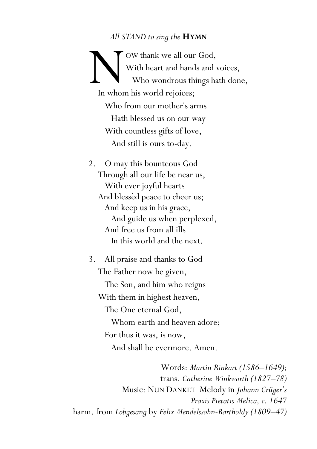#### *All STAND to sing the* **HYMN**

OW thank we all our God, With heart and hands and voices, Who wondrous things hath done, In whom his world rejoices; Who from our mother's arms Hath blessed us on our way With countless gifts of love, And still is ours to-day.

- 2. O may this bounteous God Through all our life be near us, With ever joyful hearts And blessèd peace to cheer us; And keep us in his grace, And guide us when perplexed, And free us from all ills In this world and the next.
- 3. All praise and thanks to God The Father now be given,

 The Son, and him who reigns With them in highest heaven, The One eternal God,

 Whom earth and heaven adore; For thus it was, is now, And shall be evermore. Amen.

Words: *Martin Rinkart (1586–1649);* trans. *Catherine Winkworth (1827–78)* Music: NUN DANKET Melody in *Johann Crüger's Praxis Pietatis Melica, c. 1647* harm. from *Lobgesang* by *Felix Mendelssohn-Bartholdy (1809–47)*